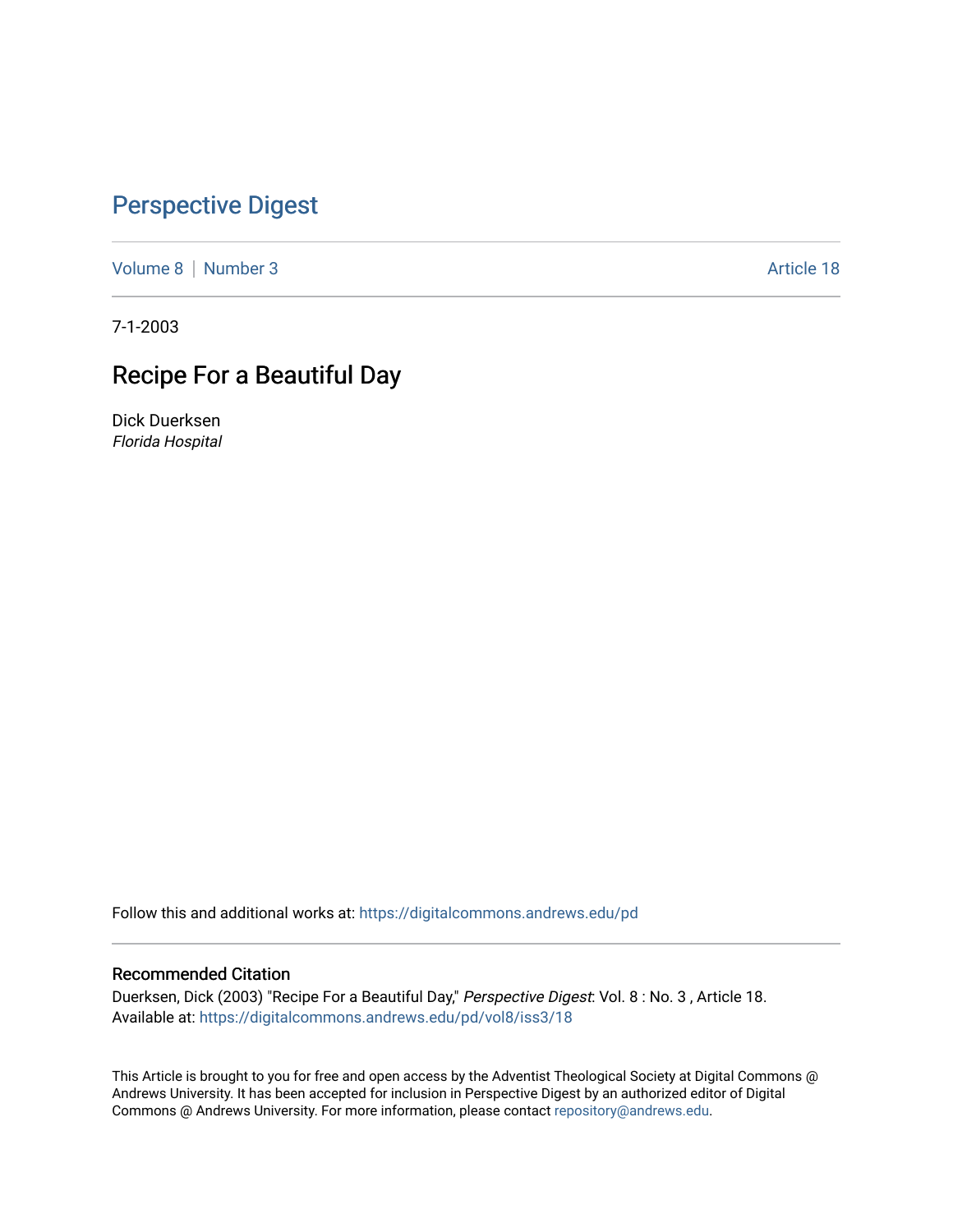## [Perspective Digest](https://digitalcommons.andrews.edu/pd)

[Volume 8](https://digitalcommons.andrews.edu/pd/vol8) | [Number 3](https://digitalcommons.andrews.edu/pd/vol8/iss3) Article 18

7-1-2003

# Recipe For a Beautiful Day

Dick Duerksen Florida Hospital

Follow this and additional works at: [https://digitalcommons.andrews.edu/pd](https://digitalcommons.andrews.edu/pd?utm_source=digitalcommons.andrews.edu%2Fpd%2Fvol8%2Fiss3%2F18&utm_medium=PDF&utm_campaign=PDFCoverPages)

### Recommended Citation

Duerksen, Dick (2003) "Recipe For a Beautiful Day," Perspective Digest: Vol. 8 : No. 3 , Article 18. Available at: [https://digitalcommons.andrews.edu/pd/vol8/iss3/18](https://digitalcommons.andrews.edu/pd/vol8/iss3/18?utm_source=digitalcommons.andrews.edu%2Fpd%2Fvol8%2Fiss3%2F18&utm_medium=PDF&utm_campaign=PDFCoverPages)

This Article is brought to you for free and open access by the Adventist Theological Society at Digital Commons @ Andrews University. It has been accepted for inclusion in Perspective Digest by an authorized editor of Digital Commons @ Andrews University. For more information, please contact [repository@andrews.edu.](mailto:repository@andrews.edu)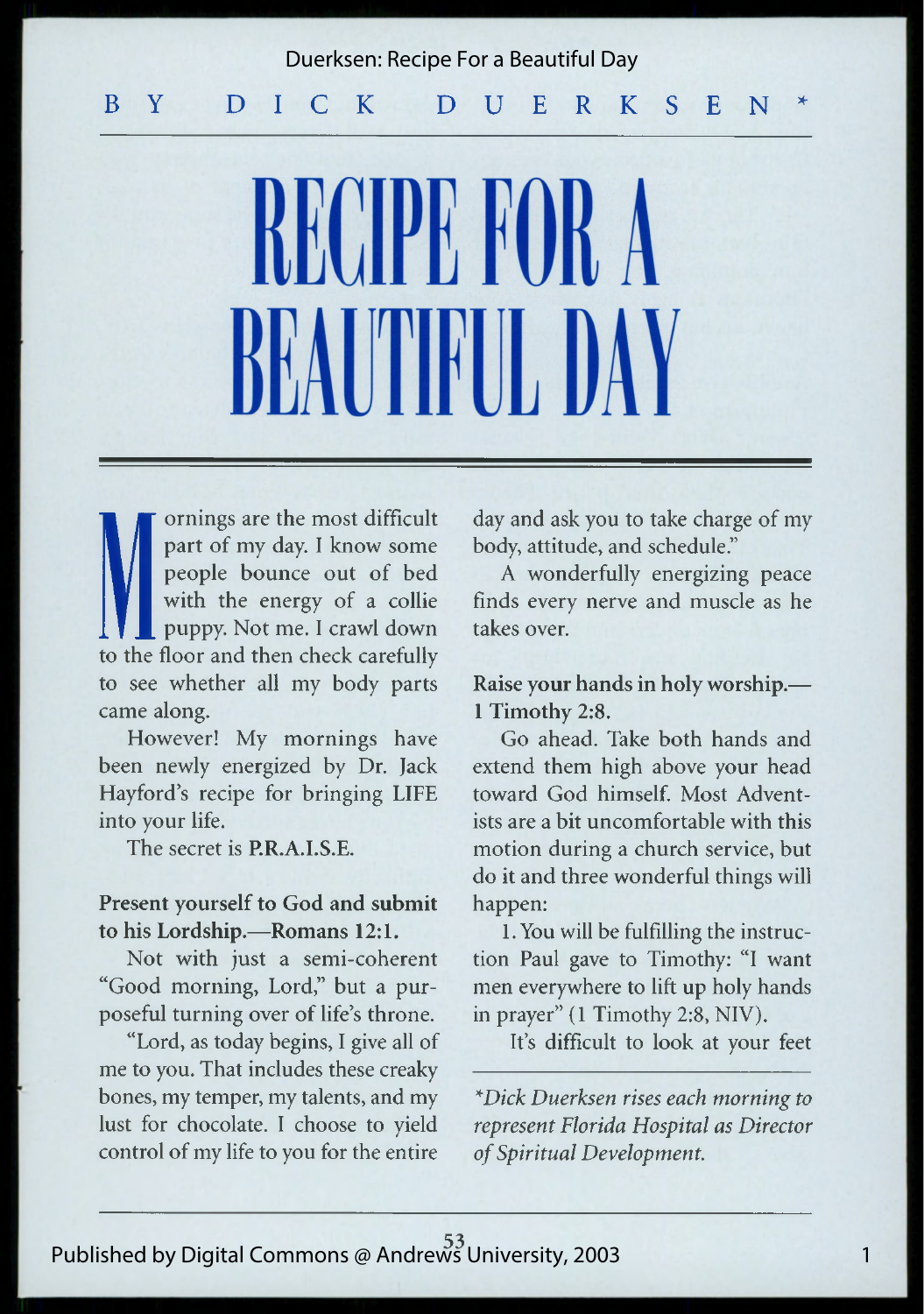## B Y D I C K D U E R K S E N Duerksen: Recipe For a Beautiful Day

KKINDE KINK RATIONRIJI, DAV

**M** ornings are the part of my complement of people bound to the floor and the context of the set of the set of the set of the set of the set of the set of the set of the set of the set of the set of the set of the set of ornings are the most difficult part of my day. I know some people bounce out of bed with the energy of a collie puppy. Not me. I crawl down to the floor and then check carefully to see whether all my body parts came along.

However! My mornings have been newly energized by Dr. Jack Hayford's recipe for bringing LIFE into your life.

The secret is **P.R.A.I.S.E.**

#### **Present yourself to God and submit to his Lordship.—Romans 12:1.**

Not with just a semi-coherent "Good morning, Lord," but a purposeful turning over of life's throne.

"Lord, as today begins, I give all of me to you. That includes these creaky bones, my temper, my talents, and my lust for chocolate. I choose to yield control of my life to you for the entire day and ask you to take charge of my body, attitude, and schedule."

A wonderfully energizing peace finds every nerve and muscle as he takes over.

**Raise your hands in holy worship.— 1 Timothy 2:8.**

Go ahead. Take both hands and extend them high above your head toward God himself. Most Adventists are a bit uncomfortable with this motion during a church service, but do it and three wonderful things will happen:

1. You will be fulfilling the instruction Paul gave to Timothy: "I want men everywhere to lift up holy hands in prayer" (1 Timothy 2:8, NIV).

It's difficult to look at your feet

*\*Dick Duerksen rises each morning to represent Florida Hospital as Director of Spiritual Development.*